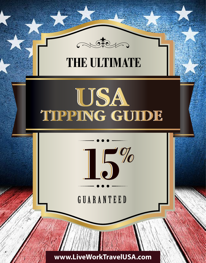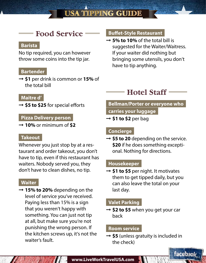## **USA TIPPING GUIDE**

## **Food Service**

## **Barista**

No tip required, you can however throw some coins into the tip jar.

#### **Bartender**

➞ **\$1** per drink is common or **15%** of the total bill

#### **Maitre d'**

➞ **\$5 to \$25** for special efforts

## **Pizza Delivery person**

➞ **10%** or minimum of **\$2**

#### **Takeout**

Whenever you just stop by at a restaurant and order takeout, you don't have to tip, even if this restaurant has waiters. Nobody served you, they don't have to clean dishes, no tip.

#### **Waiter**

➞ **15% to 20%** depending on the level of service you've received. Paying less than 15% is a sign that you weren't happy with something. You can just not tip at all, but make sure you're not punishing the wrong person. If the kitchen screws up, it's not the waiter's fault.

#### **Buffet-Style Restaurant**

➞ **5% to 10%** of the total bill is suggested for the Waiter/Waitress. If your waiter did nothing but bringing some utensils, you don't have to tip anything.

# **Hotel Staff**

## **Bellman/Porter or everyone who carries your luggage**

➞ **\$1 to \$2** per bag

### **Concierge**

➞ **\$5 to 20** depending on the service. **\$20** if he does something exceptional. Nothing for directions.

### **Housekeeper**

➞ **\$1 to \$5** per night. It motivates them to get tipped daily, but you can also leave the total on your last day.

### **Valet Parking**

➞ **\$2 to \$5** when you get your car back

#### **Room service**

➞ **\$5** (unless gratuity is included in the check)

facebook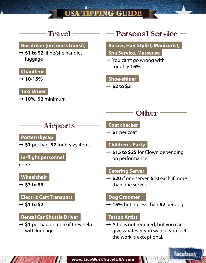## **USA TIPPING GUIDE**

# **Travel**

## **Bus driver (not mass transit)**

➞ **\$1 to \$2**, if he/she handles luggage

## **Chauffeur**

➞ **10-15%**

## **Taxi Driver**

➞ **10%, \$2** minimum

# **Personal Service**

## **Barber, Hair Stylist, Manicurist,**

- **Spa Service, Masseuse**
- $\rightarrow$  You can't go wrong with roughly **15%**

#### **Shoe-shiner**

 $\rightarrow$  \$2 to \$3

## **Other**

## **Airports**

## **Porter/skycap**

➞ **\$1** per bag. **\$2** for heavy items.

## **in-flight personnel**

none

## **Wheelchair**

 $\rightarrow$  \$3 to \$5

## **Electric Cart Transport**

 $\rightarrow$  \$1 to \$2

## **Rental Car Shuttle Driver**

➞ **\$1** per bag or more if they help with luggage

#### **Coat checker**

➞ **\$1** per coat

## **Children's Party**

➞ **\$15 to \$25** for Clown depending on performance.

## **Catering Server**

➞ **\$20** if one server. **\$10** each if more than one server.

## **Dog Groomer**

➞ **15%** but no less than **\$2** per dog

## **Tattoo Artist**

 $\rightarrow$  A tip is not required, but you can give whatever you want if you feel the work is exceptional.

**facebook** 

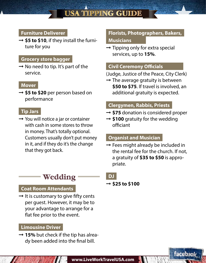## **Furniture Deliverer**

➞ **\$5 to \$10**, if they install the furniture for you

#### **Grocery store bagger**

 $\rightarrow$  No need to tip. It's part of the service.

#### **Mover**

➞ **\$5 to \$20** per person based on performance

#### **Tip Jars**

 $\rightarrow$  You will notice a jar or container with cash in some stores to throw in money. That's totally optional. Customers usually don't put money in it, and if they do it's the change that they got back.

## **Wedding**

## **Coat Room Attendants**

 $\rightarrow$  It is customary to give fifty cents per guest. However, it may be to your advantage to arrange for a flat fee prior to the event.

#### **Limousine Driver**

➞ **15%** but check if the tip has already been added into the final bill.

## **Florists, Photographers, Bakers, Musicians**

 $\rightarrow$  Tipping only for extra special services, up to **15%**.

### **Civil Ceremony Officials**

(Judge, Justice of the Peace, City Clerk)

 $\rightarrow$  The average gratuity is between **\$50 to \$75**. If travel is involved, an additional gratuity is expected.

## **Clergymen, Rabbis, Priests**

- ➞ **\$75** donation is considered proper
- ➞ **\$100** gratuity for the wedding officiant

## **Organist and Musician**

 $\rightarrow$  Fees might already be included in the rental fee for the church. If not, a gratuity of **\$35 to \$50** is appropriate.

facebook



#### ➞ **\$25 to \$100**